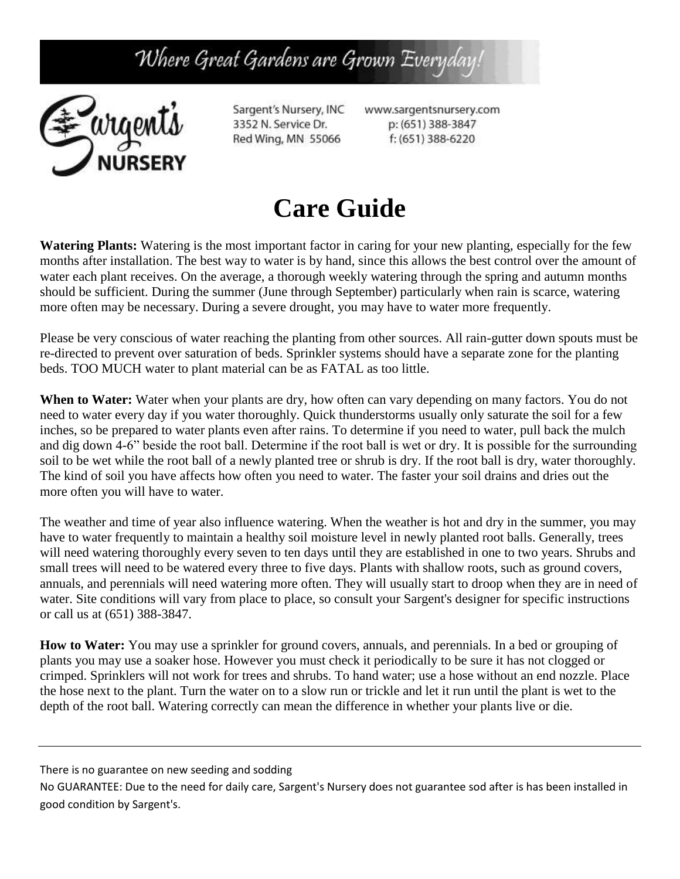Where Great Gardens are Grown Everyday



Sargent's Nursery, INC 3352 N. Service Dr. Red Wing, MN 55066

www.sargentsnursery.com p: (651) 388-3847 f: (651) 388-6220

# **Care Guide**

**Watering Plants:** Watering is the most important factor in caring for your new planting, especially for the few months after installation. The best way to water is by hand, since this allows the best control over the amount of water each plant receives. On the average, a thorough weekly watering through the spring and autumn months should be sufficient. During the summer (June through September) particularly when rain is scarce, watering more often may be necessary. During a severe drought, you may have to water more frequently.

Please be very conscious of water reaching the planting from other sources. All rain-gutter down spouts must be re-directed to prevent over saturation of beds. Sprinkler systems should have a separate zone for the planting beds. TOO MUCH water to plant material can be as FATAL as too little.

**When to Water:** Water when your plants are dry, how often can vary depending on many factors. You do not need to water every day if you water thoroughly. Quick thunderstorms usually only saturate the soil for a few inches, so be prepared to water plants even after rains. To determine if you need to water, pull back the mulch and dig down 4-6" beside the root ball. Determine if the root ball is wet or dry. It is possible for the surrounding soil to be wet while the root ball of a newly planted tree or shrub is dry. If the root ball is dry, water thoroughly. The kind of soil you have affects how often you need to water. The faster your soil drains and dries out the more often you will have to water.

The weather and time of year also influence watering. When the weather is hot and dry in the summer, you may have to water frequently to maintain a healthy soil moisture level in newly planted root balls. Generally, trees will need watering thoroughly every seven to ten days until they are established in one to two years. Shrubs and small trees will need to be watered every three to five days. Plants with shallow roots, such as ground covers, annuals, and perennials will need watering more often. They will usually start to droop when they are in need of water. Site conditions will vary from place to place, so consult your Sargent's designer for specific instructions or call us at (651) 388-3847.

**How to Water:** You may use a sprinkler for ground covers, annuals, and perennials. In a bed or grouping of plants you may use a soaker hose. However you must check it periodically to be sure it has not clogged or crimped. Sprinklers will not work for trees and shrubs. To hand water; use a hose without an end nozzle. Place the hose next to the plant. Turn the water on to a slow run or trickle and let it run until the plant is wet to the depth of the root ball. Watering correctly can mean the difference in whether your plants live or die.

There is no guarantee on new seeding and sodding

No GUARANTEE: Due to the need for daily care, Sargent's Nursery does not guarantee sod after is has been installed in good condition by Sargent's.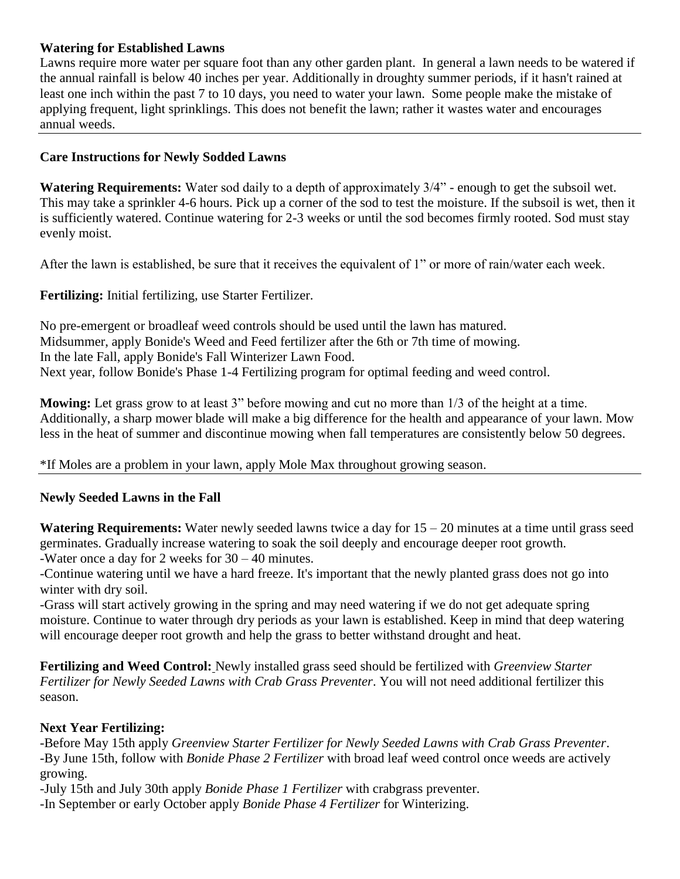## **Watering for Established Lawns**

Lawns require more water per square foot than any other garden plant. In general a lawn needs to be watered if the annual rainfall is below 40 inches per year. Additionally in droughty summer periods, if it hasn't rained at least one inch within the past 7 to 10 days, you need to water your lawn. Some people make the mistake of applying frequent, light sprinklings. This does not benefit the lawn; rather it wastes water and encourages annual weeds.

### **Care Instructions for Newly Sodded Lawns**

**Watering Requirements:** Water sod daily to a depth of approximately 3/4" - enough to get the subsoil wet. This may take a sprinkler 4-6 hours. Pick up a corner of the sod to test the moisture. If the subsoil is wet, then it is sufficiently watered. Continue watering for 2-3 weeks or until the sod becomes firmly rooted. Sod must stay evenly moist.

After the lawn is established, be sure that it receives the equivalent of 1" or more of rain/water each week.

**Fertilizing:** Initial fertilizing, use Starter Fertilizer.

No pre-emergent or broadleaf weed controls should be used until the lawn has matured. Midsummer, apply Bonide's Weed and Feed fertilizer after the 6th or 7th time of mowing. In the late Fall, apply Bonide's Fall Winterizer Lawn Food. Next year, follow Bonide's Phase 1-4 Fertilizing program for optimal feeding and weed control.

**Mowing:** Let grass grow to at least 3" before mowing and cut no more than 1/3 of the height at a time. Additionally, a sharp mower blade will make a big difference for the health and appearance of your lawn. Mow less in the heat of summer and discontinue mowing when fall temperatures are consistently below 50 degrees.

\*If Moles are a problem in your lawn, apply Mole Max throughout growing season.

#### **Newly Seeded Lawns in the Fall**

**Watering Requirements:** Water newly seeded lawns twice a day for 15 – 20 minutes at a time until grass seed germinates. Gradually increase watering to soak the soil deeply and encourage deeper root growth. -Water once a day for 2 weeks for 30 – 40 minutes.

-Continue watering until we have a hard freeze. It's important that the newly planted grass does not go into winter with dry soil.

-Grass will start actively growing in the spring and may need watering if we do not get adequate spring moisture. Continue to water through dry periods as your lawn is established. Keep in mind that deep watering will encourage deeper root growth and help the grass to better withstand drought and heat.

**Fertilizing and Weed Control:** Newly installed grass seed should be fertilized with *Greenview Starter Fertilizer for Newly Seeded Lawns with Crab Grass Preventer*. You will not need additional fertilizer this season.

#### **Next Year Fertilizing:**

-Before May 15th apply *Greenview Starter Fertilizer for Newly Seeded Lawns with Crab Grass Preventer*. -By June 15th, follow with *Bonide Phase 2 Fertilizer* with broad leaf weed control once weeds are actively growing.

-July 15th and July 30th apply *Bonide Phase 1 Fertilizer* with crabgrass preventer. *-*In September or early October apply *Bonide Phase 4 Fertilizer* for Winterizing.